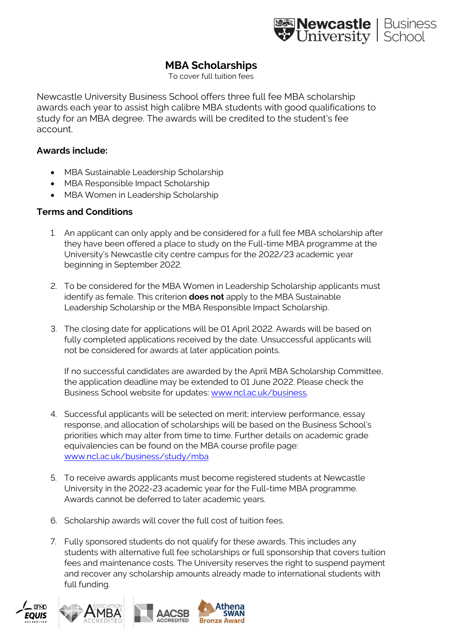

## **MBA Scholarships**

To cover full tuition fees

Newcastle University Business School offers three full fee MBA scholarship awards each year to assist high calibre MBA students with good qualifications to study for an MBA degree. The awards will be credited to the student's fee account.

## **Awards include:**

- MBA Sustainable Leadership Scholarship
- MBA Responsible Impact Scholarship
- MBA Women in Leadership Scholarship

## **Terms and Conditions**

- 1. An applicant can only apply and be considered for a full fee MBA scholarship after they have been offered a place to study on the Full-time MBA programme at the University's Newcastle city centre campus for the 2022/23 academic year beginning in September 2022.
- 2. To be considered for the MBA Women in Leadership Scholarship applicants must identify as female. This criterion **does not** apply to the MBA Sustainable Leadership Scholarship or the MBA Responsible Impact Scholarship.
- 3. The closing date for applications will be 01 April 2022. Awards will be based on fully completed applications received by the date. Unsuccessful applicants will not be considered for awards at later application points.

If no successful candidates are awarded by the April MBA Scholarship Committee, the application deadline may be extended to 01 June 2022. Please check the Business School website for updates[: www.ncl.ac.uk/business.](http://www.ncl.ac.uk/business)

- 4. Successful applicants will be selected on merit; interview performance, essay response, and allocation of scholarships will be based on the Business School's priorities which may alter from time to time. Further details on academic grade equivalencies can be found on the MBA course profile page: [www.ncl.ac.uk/business/study/mba](http://www.ncl.ac.uk/business/study/mba)
- 5. To receive awards applicants must become registered students at Newcastle University in the 2022-23 academic year for the Full-time MBA programme. Awards cannot be deferred to later academic years.
- 6. Scholarship awards will cover the full cost of tuition fees.
- 7. Fully sponsored students do not qualify for these awards. This includes any students with alternative full fee scholarships or full sponsorship that covers tuition fees and maintenance costs. The University reserves the right to suspend payment and recover any scholarship amounts already made to international students with full funding.